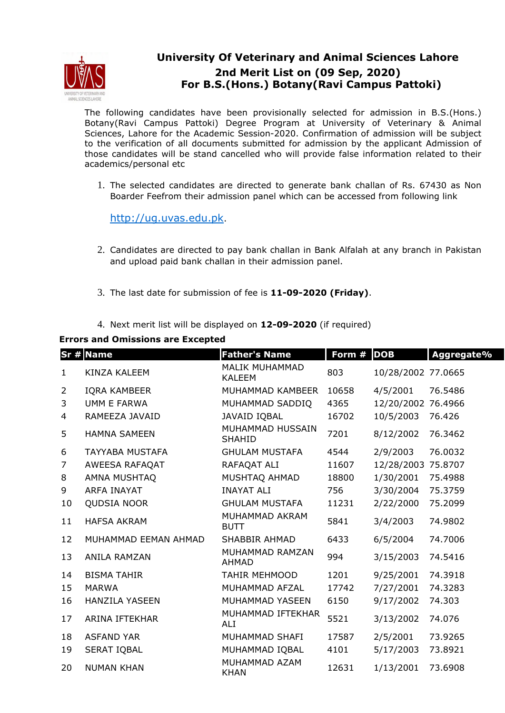

## **University Of Veterinary and Animal Sciences Lahore 2nd Merit List on (09 Sep, 2020) For B.S.(Hons.) Botany(Ravi Campus Pattoki)**

The following candidates have been provisionally selected for admission in B.S.(Hons.) Botany(Ravi Campus Pattoki) Degree Program at University of Veterinary & Animal Sciences, Lahore for the Academic Session-2020. Confirmation of admission will be subject to the verification of all documents submitted for admission by the applicant Admission of those candidates will be stand cancelled who will provide false information related to their academics/personal etc

1. The selected candidates are directed to generate bank challan of Rs. 67430 as Non Boarder Feefrom their admission panel which can be accessed from following link

http://ug.uvas.edu.pk.

- 2. Candidates are directed to pay bank challan in Bank Alfalah at any branch in Pakistan and upload paid bank challan in their admission panel.
- 3. The last date for submission of fee is **11-09-2020 (Friday)**.
- 4. Next merit list will be displayed on **12-09-2020** (if required)

## **Errors and Omissions are Excepted**

|                | $Sr$ # Name            | <b>Father's Name</b>                   | Form # | <b>DOB</b>         | Aggregate% |
|----------------|------------------------|----------------------------------------|--------|--------------------|------------|
| $\mathbf{1}$   | <b>KINZA KALEEM</b>    | <b>MALIK MUHAMMAD</b><br><b>KALEEM</b> | 803    | 10/28/2002 77.0665 |            |
| $\overline{2}$ | <b>IQRA KAMBEER</b>    | MUHAMMAD KAMBEER                       | 10658  | 4/5/2001           | 76.5486    |
| 3              | <b>UMM E FARWA</b>     | MUHAMMAD SADDIQ                        | 4365   | 12/20/2002         | 76.4966    |
| 4              | RAMEEZA JAVAID         | JAVAID IQBAL                           | 16702  | 10/5/2003          | 76.426     |
| 5              | <b>HAMNA SAMEEN</b>    | MUHAMMAD HUSSAIN<br><b>SHAHID</b>      | 7201   | 8/12/2002          | 76.3462    |
| 6              | <b>TAYYABA MUSTAFA</b> | <b>GHULAM MUSTAFA</b>                  | 4544   | 2/9/2003           | 76.0032    |
| $\overline{7}$ | AWEESA RAFAQAT         | RAFAQAT ALI                            | 11607  | 12/28/2003         | 75.8707    |
| 8              | AMNA MUSHTAQ           | MUSHTAQ AHMAD                          | 18800  | 1/30/2001          | 75.4988    |
| 9              | <b>ARFA INAYAT</b>     | <b>INAYAT ALI</b>                      | 756    | 3/30/2004          | 75.3759    |
| 10             | QUDSIA NOOR            | <b>GHULAM MUSTAFA</b>                  | 11231  | 2/22/2000          | 75.2099    |
| 11             | <b>HAFSA AKRAM</b>     | MUHAMMAD AKRAM<br><b>BUTT</b>          | 5841   | 3/4/2003           | 74.9802    |
| 12             | MUHAMMAD EEMAN AHMAD   | <b>SHABBIR AHMAD</b>                   | 6433   | 6/5/2004           | 74.7006    |
| 13             | ANILA RAMZAN           | MUHAMMAD RAMZAN<br><b>AHMAD</b>        | 994    | 3/15/2003          | 74.5416    |
| 14             | <b>BISMA TAHIR</b>     | <b>TAHIR MEHMOOD</b>                   | 1201   | 9/25/2001          | 74.3918    |
| 15             | <b>MARWA</b>           | MUHAMMAD AFZAL                         | 17742  | 7/27/2001          | 74.3283    |
| 16             | <b>HANZILA YASEEN</b>  | MUHAMMAD YASEEN                        | 6150   | 9/17/2002          | 74.303     |
| 17             | ARINA IFTEKHAR         | MUHAMMAD IFTEKHAR<br>ALI               | 5521   | 3/13/2002          | 74.076     |
| 18             | <b>ASFAND YAR</b>      | MUHAMMAD SHAFI                         | 17587  | 2/5/2001           | 73.9265    |
| 19             | <b>SERAT IQBAL</b>     | MUHAMMAD IQBAL                         | 4101   | 5/17/2003          | 73.8921    |
| 20             | <b>NUMAN KHAN</b>      | MUHAMMAD AZAM<br><b>KHAN</b>           | 12631  | 1/13/2001          | 73.6908    |